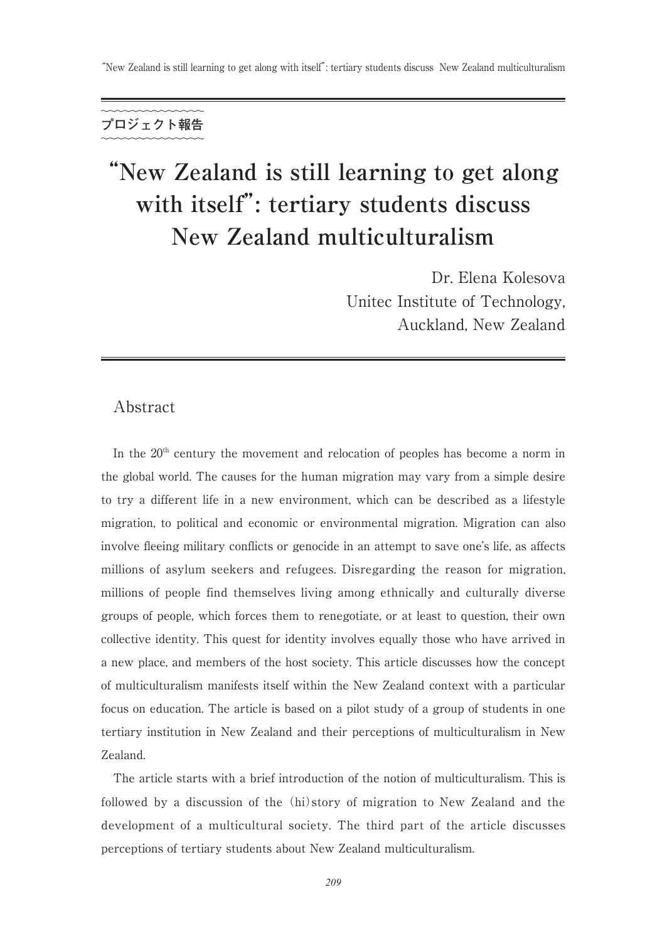# **"New Zealand is still learning to get along with itself": tertiary students discuss New Zealand multiculturalism**

Dr. Elena Kolesova Unitec Institute of Technology, Auckland, New Zealand

# Abstract

In the  $20<sup>th</sup>$  century the movement and relocation of peoples has become a norm in the global world. The causes for the human migration may vary from a simple desire to try a different life in a new environment, which can be described as a lifestyle migration, to political and economic or environmental migration. Migration can also involve fleeing military conflicts or genocide in an attempt to save one's life, as affects millions of asylum seekers and refugees. Disregarding the reason for migration, millions of people find themselves living among ethnically and culturally diverse groups of people, which forces them to renegotiate, or at least to question, their own collective identity. This quest for identity involves equally those who have arrived in a new place, and members of the host society. This article discusses how the concept of multiculturalism manifests itself within the New Zealand context with a particular focus on education. The article is based on a pilot study of a group of students in one tertiary institution in New Zealand and their perceptions of multiculturalism in New Zealand.

 The article starts with a brief introduction of the notion of multiculturalism. This is followed by a discussion of the (hi)story of migration to New Zealand and the development of a multicultural society. The third part of the article discusses perceptions of tertiary students about New Zealand multiculturalism.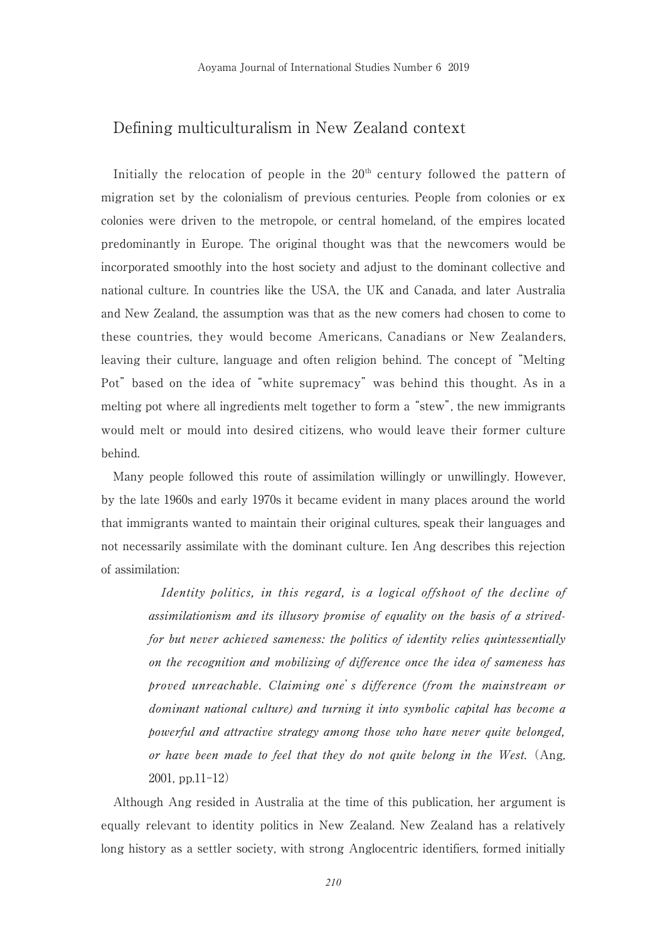# Defining multiculturalism in New Zealand context

Initially the relocation of people in the  $20<sup>th</sup>$  century followed the pattern of migration set by the colonialism of previous centuries. People from colonies or ex colonies were driven to the metropole, or central homeland, of the empires located predominantly in Europe. The original thought was that the newcomers would be incorporated smoothly into the host society and adjust to the dominant collective and national culture. In countries like the USA, the UK and Canada, and later Australia and New Zealand, the assumption was that as the new comers had chosen to come to these countries, they would become Americans, Canadians or New Zealanders, leaving their culture, language and often religion behind. The concept of "Melting Pot" based on the idea of "white supremacy" was behind this thought. As in a melting pot where all ingredients melt together to form a "stew", the new immigrants would melt or mould into desired citizens, who would leave their former culture behind.

 Many people followed this route of assimilation willingly or unwillingly. However, by the late 1960s and early 1970s it became evident in many places around the world that immigrants wanted to maintain their original cultures, speak their languages and not necessarily assimilate with the dominant culture. Ien Ang describes this rejection of assimilation:

Identity politics, in this regard, is a logical offshoot of the decline of assimilationism and its illusory promise of equality on the basis of a strivedfor but never achieved sameness: the politics of identity relies quintessentially on the recognition and mobilizing of difference once the idea of sameness has proved unreachable. Claiming one's difference (from the mainstream or dominant national culture) and turning it into symbolic capital has become a powerful and attractive strategy among those who have never quite belonged, or have been made to feel that they do not quite belong in the West. (Ang, 2001, pp.11-12)

 Although Ang resided in Australia at the time of this publication, her argument is equally relevant to identity politics in New Zealand. New Zealand has a relatively long history as a settler society, with strong Anglocentric identifiers, formed initially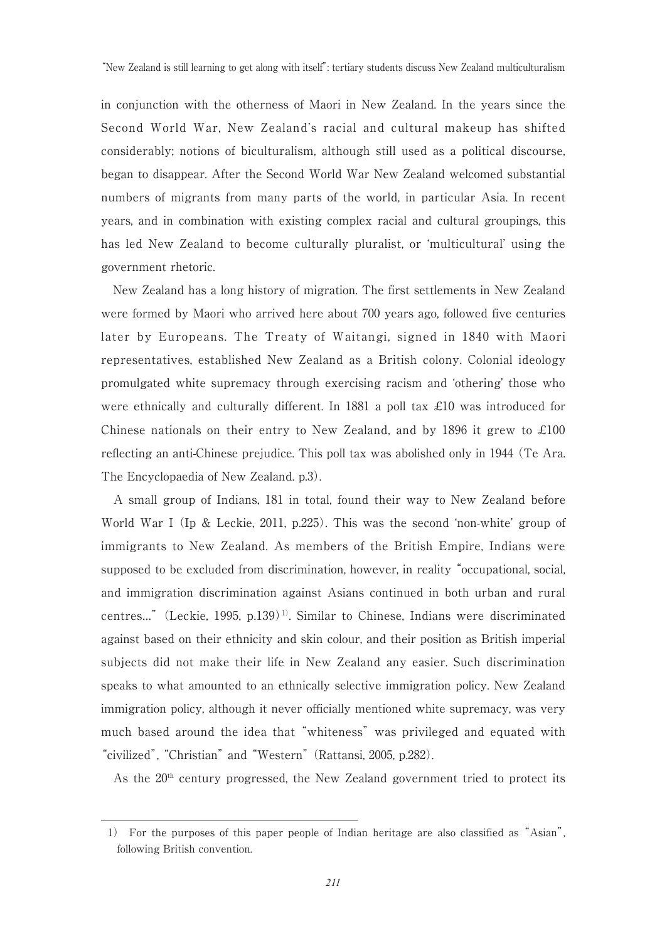in conjunction with the otherness of Maori in New Zealand. In the years since the Second World War, New Zealand's racial and cultural makeup has shifted considerably; notions of biculturalism, although still used as a political discourse, began to disappear. After the Second World War New Zealand welcomed substantial numbers of migrants from many parts of the world, in particular Asia. In recent years, and in combination with existing complex racial and cultural groupings, this has led New Zealand to become culturally pluralist, or 'multicultural' using the government rhetoric.

 New Zealand has a long history of migration. The first settlements in New Zealand were formed by Maori who arrived here about 700 years ago, followed five centuries later by Europeans. The Treaty of Waitangi, signed in 1840 with Maori representatives, established New Zealand as a British colony. Colonial ideology promulgated white supremacy through exercising racism and 'othering' those who were ethnically and culturally different. In 1881 a poll tax  $\pounds 10$  was introduced for Chinese nationals on their entry to New Zealand, and by 1896 it grew to  $\pounds 100$ reflecting an anti-Chinese prejudice. This poll tax was abolished only in 1944 (Te Ara. The Encyclopaedia of New Zealand. p.3).

 A small group of Indians, 181 in total, found their way to New Zealand before World War I (Ip & Leckie, 2011, p.225). This was the second 'non-white' group of immigrants to New Zealand. As members of the British Empire, Indians were supposed to be excluded from discrimination, however, in reality "occupational, social, and immigration discrimination against Asians continued in both urban and rural centres..." (Leckie, 1995, p.139)<sup>1)</sup>. Similar to Chinese, Indians were discriminated against based on their ethnicity and skin colour, and their position as British imperial subjects did not make their life in New Zealand any easier. Such discrimination speaks to what amounted to an ethnically selective immigration policy. New Zealand immigration policy, although it never officially mentioned white supremacy, was very much based around the idea that "whiteness" was privileged and equated with "civilized", "Christian" and "Western" (Rattansi, 2005, p.282).

As the  $20<sup>th</sup>$  century progressed, the New Zealand government tried to protect its

<sup>1)</sup> For the purposes of this paper people of Indian heritage are also classified as "Asian", following British convention.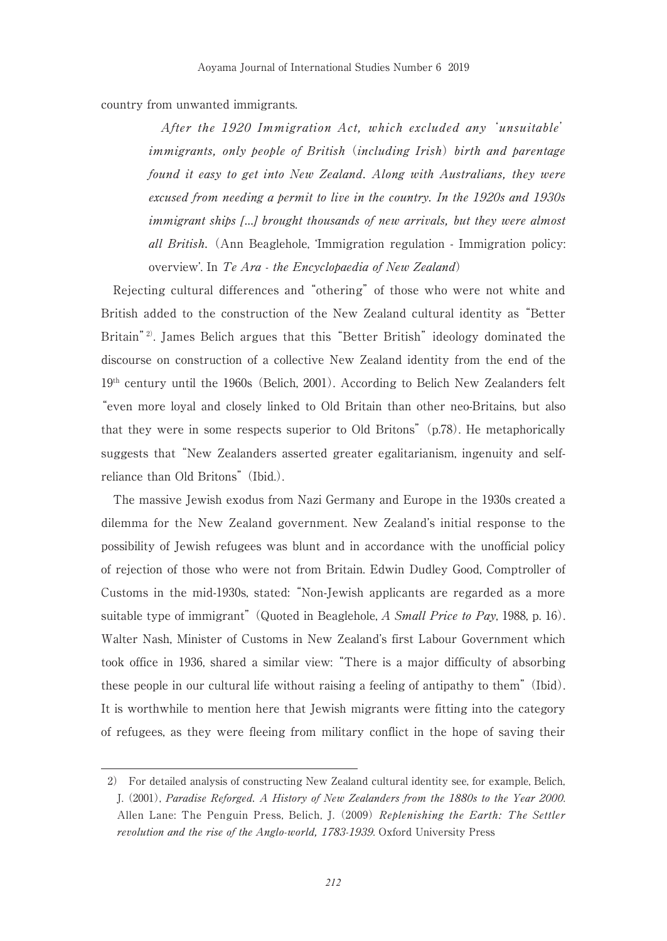## country from unwanted immigrants.

 After the 1920 Immigration Act, which excluded any 'unsuitable' immigrants, only people of British (including Irish) birth and parentage found it easy to get into New Zealand. Along with Australians, they were excused from needing a permit to live in the country. In the 1920s and 1930s immigrant ships […] brought thousands of new arrivals, but they were almost all British. (Ann Beaglehole, 'Immigration regulation - Immigration policy: overview'. In Te Ara - the Encyclopaedia of New Zealand)

 Rejecting cultural differences and "othering" of those who were not white and British added to the construction of the New Zealand cultural identity as "Better Britain<sup>"2)</sup>. James Belich argues that this "Better British" ideology dominated the discourse on construction of a collective New Zealand identity from the end of the  $19<sup>th</sup>$  century until the 1960s (Belich, 2001). According to Belich New Zealanders felt "even more loyal and closely linked to Old Britain than other neo-Britains, but also that they were in some respects superior to Old Britons" (p.78). He metaphorically suggests that "New Zealanders asserted greater egalitarianism, ingenuity and selfreliance than Old Britons" (Ibid.).

 The massive Jewish exodus from Nazi Germany and Europe in the 1930s created a dilemma for the New Zealand government. New Zealand's initial response to the possibility of Jewish refugees was blunt and in accordance with the unofficial policy of rejection of those who were not from Britain. Edwin Dudley Good, Comptroller of Customs in the mid-1930s, stated: "Non-Jewish applicants are regarded as a more suitable type of immigrant" (Quoted in Beaglehole, A Small Price to Pay, 1988, p. 16). Walter Nash, Minister of Customs in New Zealand's first Labour Government which took office in 1936, shared a similar view: "There is a major difficulty of absorbing these people in our cultural life without raising a feeling of antipathy to them" (Ibid). It is worthwhile to mention here that Jewish migrants were fitting into the category of refugees, as they were fleeing from military conflict in the hope of saving their

<sup>2)</sup> For detailed analysis of constructing New Zealand cultural identity see, for example, Belich, J. (2001), Paradise Reforged. A History of New Zealanders from the 1880s to the Year 2000. Allen Lane: The Penguin Press, Belich, J. (2009) Replenishing the Earth: The Settler revolution and the rise of the Anglo-world, 1783-1939. Oxford University Press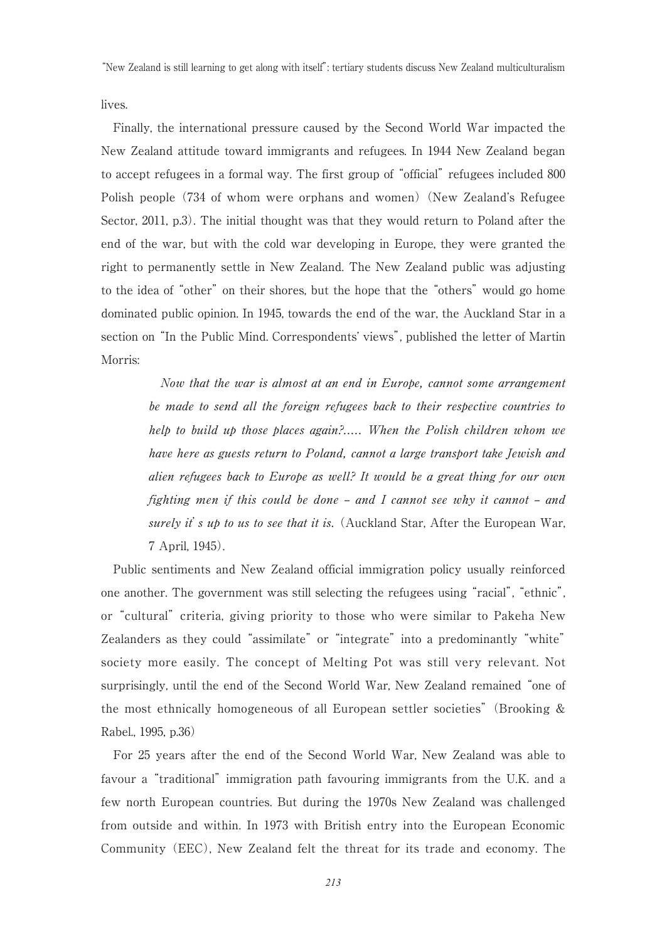lives.

 Finally, the international pressure caused by the Second World War impacted the New Zealand attitude toward immigrants and refugees. In 1944 New Zealand began to accept refugees in a formal way. The first group of "official" refugees included 800 Polish people (734 of whom were orphans and women) (New Zealand's Refugee Sector, 2011, p.3). The initial thought was that they would return to Poland after the end of the war, but with the cold war developing in Europe, they were granted the right to permanently settle in New Zealand. The New Zealand public was adjusting to the idea of "other" on their shores, but the hope that the "others" would go home dominated public opinion. In 1945, towards the end of the war, the Auckland Star in a section on "In the Public Mind. Correspondents' views", published the letter of Martin Morris:

 Now that the war is almost at an end in Europe, cannot some arrangement be made to send all the foreign refugees back to their respective countries to help to build up those places again?..... When the Polish children whom we have here as guests return to Poland, cannot a large transport take Jewish and alien refugees back to Europe as well? It would be a great thing for our own fighting men if this could be done – and I cannot see why it cannot – and surely it's up to us to see that it is. (Auckland Star, After the European War, 7 April, 1945).

 Public sentiments and New Zealand official immigration policy usually reinforced one another. The government was still selecting the refugees using "racial", "ethnic", or "cultural" criteria, giving priority to those who were similar to Pakeha New Zealanders as they could "assimilate" or "integrate" into a predominantly "white" society more easily. The concept of Melting Pot was still very relevant. Not surprisingly, until the end of the Second World War, New Zealand remained "one of the most ethnically homogeneous of all European settler societies" (Brooking & Rabel., 1995, p.36)

 For 25 years after the end of the Second World War, New Zealand was able to favour a "traditional" immigration path favouring immigrants from the U.K. and a few north European countries. But during the 1970s New Zealand was challenged from outside and within. In 1973 with British entry into the European Economic Community (EEC), New Zealand felt the threat for its trade and economy. The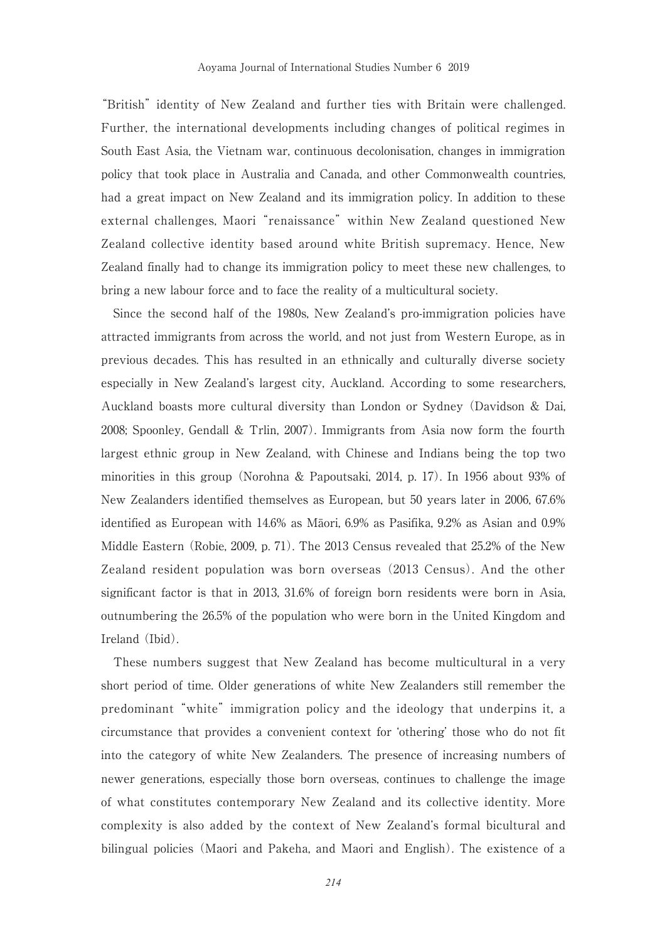"British" identity of New Zealand and further ties with Britain were challenged. Further, the international developments including changes of political regimes in South East Asia, the Vietnam war, continuous decolonisation, changes in immigration policy that took place in Australia and Canada, and other Commonwealth countries, had a great impact on New Zealand and its immigration policy. In addition to these external challenges, Maori "renaissance" within New Zealand questioned New Zealand collective identity based around white British supremacy. Hence, New Zealand finally had to change its immigration policy to meet these new challenges, to bring a new labour force and to face the reality of a multicultural society.

 Since the second half of the 1980s, New Zealand's pro-immigration policies have attracted immigrants from across the world, and not just from Western Europe, as in previous decades. This has resulted in an ethnically and culturally diverse society especially in New Zealand's largest city, Auckland. According to some researchers, Auckland boasts more cultural diversity than London or Sydney (Davidson & Dai, 2008; Spoonley, Gendall & Trlin, 2007). Immigrants from Asia now form the fourth largest ethnic group in New Zealand, with Chinese and Indians being the top two minorities in this group (Norohna & Papoutsaki, 2014, p. 17). In 1956 about 93% of New Zealanders identified themselves as European, but 50 years later in 2006, 67.6% identified as European with 14.6% as Māori, 6.9% as Pasifika, 9.2% as Asian and 0.9% Middle Eastern (Robie, 2009, p. 71). The 2013 Census revealed that 25.2% of the New Zealand resident population was born overseas (2013 Census). And the other significant factor is that in 2013, 31.6% of foreign born residents were born in Asia, outnumbering the 26.5% of the population who were born in the United Kingdom and Ireland (Ibid).

 These numbers suggest that New Zealand has become multicultural in a very short period of time. Older generations of white New Zealanders still remember the predominant "white" immigration policy and the ideology that underpins it, a circumstance that provides a convenient context for 'othering' those who do not fit into the category of white New Zealanders. The presence of increasing numbers of newer generations, especially those born overseas, continues to challenge the image of what constitutes contemporary New Zealand and its collective identity. More complexity is also added by the context of New Zealand's formal bicultural and bilingual policies (Maori and Pakeha, and Maori and English). The existence of a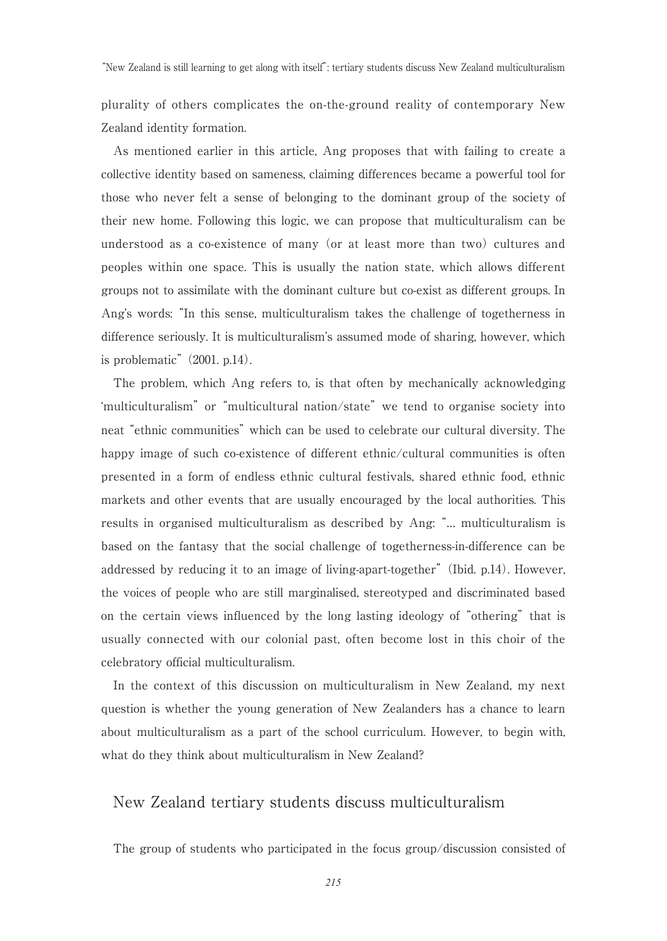"New Zealand is still learning to get along with itself": tertiary students discuss New Zealand multiculturalism

plurality of others complicates the on-the-ground reality of contemporary New Zealand identity formation.

 As mentioned earlier in this article, Ang proposes that with failing to create a collective identity based on sameness, claiming differences became a powerful tool for those who never felt a sense of belonging to the dominant group of the society of their new home. Following this logic, we can propose that multiculturalism can be understood as a co-existence of many (or at least more than two) cultures and peoples within one space. This is usually the nation state, which allows different groups not to assimilate with the dominant culture but co-exist as different groups. In Ang's words: "In this sense, multiculturalism takes the challenge of togetherness in difference seriously. It is multiculturalism's assumed mode of sharing, however, which is problematic" (2001. p.14).

 The problem, which Ang refers to, is that often by mechanically acknowledging 'multiculturalism" or "multicultural nation/state" we tend to organise society into neat "ethnic communities" which can be used to celebrate our cultural diversity. The happy image of such co-existence of different ethnic/cultural communities is often presented in a form of endless ethnic cultural festivals, shared ethnic food, ethnic markets and other events that are usually encouraged by the local authorities. This results in organised multiculturalism as described by Ang: "… multiculturalism is based on the fantasy that the social challenge of togetherness-in-difference can be addressed by reducing it to an image of living-apart-together" (Ibid. p.14). However, the voices of people who are still marginalised, stereotyped and discriminated based on the certain views influenced by the long lasting ideology of "othering" that is usually connected with our colonial past, often become lost in this choir of the celebratory official multiculturalism.

 In the context of this discussion on multiculturalism in New Zealand, my next question is whether the young generation of New Zealanders has a chance to learn about multiculturalism as a part of the school curriculum. However, to begin with, what do they think about multiculturalism in New Zealand?

## New Zealand tertiary students discuss multiculturalism

The group of students who participated in the focus group/discussion consisted of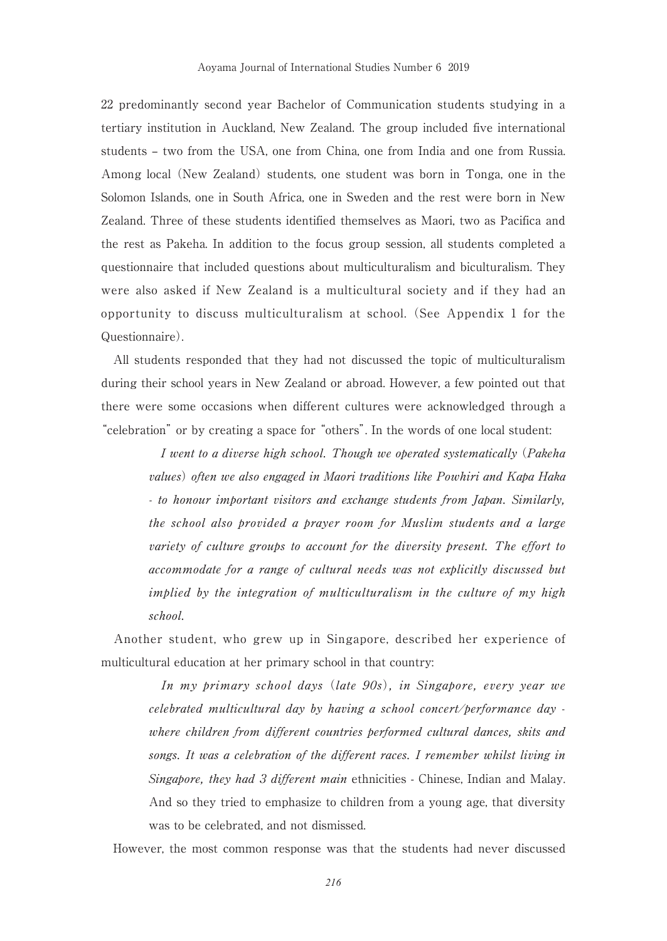22 predominantly second year Bachelor of Communication students studying in a tertiary institution in Auckland, New Zealand. The group included five international students – two from the USA, one from China, one from India and one from Russia. Among local (New Zealand) students, one student was born in Tonga, one in the Solomon Islands, one in South Africa, one in Sweden and the rest were born in New Zealand. Three of these students identified themselves as Maori, two as Pacifica and the rest as Pakeha. In addition to the focus group session, all students completed a questionnaire that included questions about multiculturalism and biculturalism. They were also asked if New Zealand is a multicultural society and if they had an opportunity to discuss multiculturalism at school. (See Appendix 1 for the Questionnaire).

 All students responded that they had not discussed the topic of multiculturalism during their school years in New Zealand or abroad. However, a few pointed out that there were some occasions when different cultures were acknowledged through a "celebration" or by creating a space for "others". In the words of one local student:

 I went to a diverse high school. Though we operated systematically (Pakeha values) often we also engaged in Maori traditions like Powhiri and Kapa Haka - to honour important visitors and exchange students from Japan. Similarly, the school also provided a prayer room for Muslim students and a large variety of culture groups to account for the diversity present. The effort to accommodate for a range of cultural needs was not explicitly discussed but implied by the integration of multiculturalism in the culture of my high school.

 Another student, who grew up in Singapore, described her experience of multicultural education at her primary school in that country:

 In my primary school days (late 90s), in Singapore, every year we celebrated multicultural day by having a school concert/performance day where children from different countries performed cultural dances, skits and songs. It was a celebration of the different races. I remember whilst living in Singapore, they had 3 different main ethnicities - Chinese, Indian and Malay. And so they tried to emphasize to children from a young age, that diversity was to be celebrated, and not dismissed.

However, the most common response was that the students had never discussed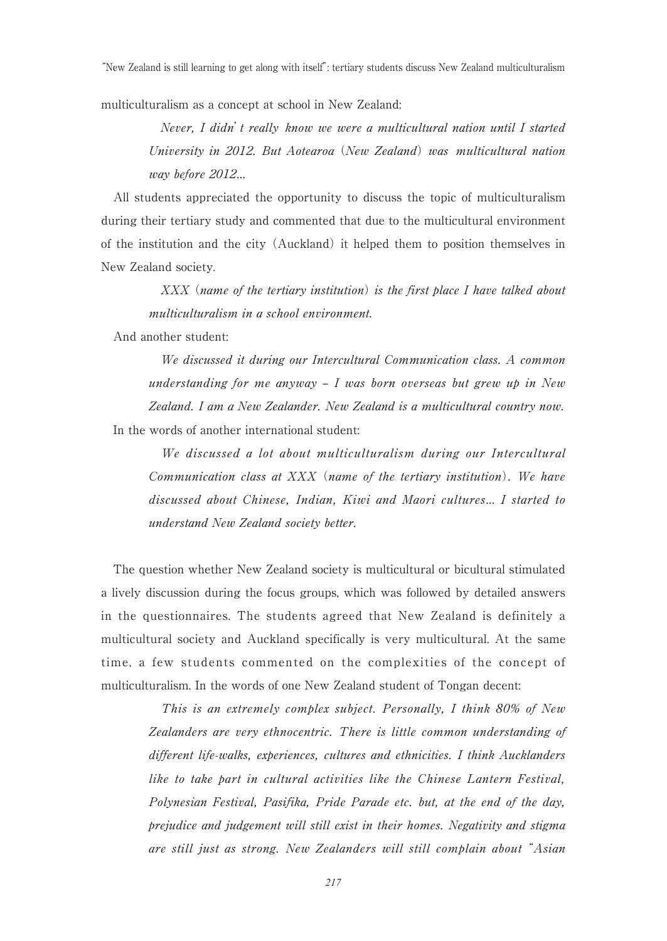"New Zealand is still learning to get along with itself": tertiary students discuss New Zealand multiculturalism

multiculturalism as a concept at school in New Zealand:

 Never, I didn't really know we were a multicultural nation until I started University in 2012. But Aotearoa (New Zealand) was multicultural nation way before 2012…

 All students appreciated the opportunity to discuss the topic of multiculturalism during their tertiary study and commented that due to the multicultural environment of the institution and the city (Auckland) it helped them to position themselves in New Zealand society.

 XXX (name of the tertiary institution) is the first place I have talked about multiculturalism in a school environment.

And another student:

 We discussed it during our Intercultural Communication class. A common understanding for me anyway – I was born overseas but grew up in New Zealand. I am a New Zealander. New Zealand is a multicultural country now. In the words of another international student:

 We discussed a lot about multiculturalism during our Intercultural Communication class at XXX (name of the tertiary institution). We have discussed about Chinese, Indian, Kiwi and Maori cultures… I started to understand New Zealand society better.

 The question whether New Zealand society is multicultural or bicultural stimulated a lively discussion during the focus groups, which was followed by detailed answers in the questionnaires. The students agreed that New Zealand is definitely a multicultural society and Auckland specifically is very multicultural. At the same time, a few students commented on the complexities of the concept of multiculturalism. In the words of one New Zealand student of Tongan decent:

 This is an extremely complex subject. Personally, I think 80% of New Zealanders are very ethnocentric. There is little common understanding of different life-walks, experiences, cultures and ethnicities. I think Aucklanders like to take part in cultural activities like the Chinese Lantern Festival, Polynesian Festival, Pasifika, Pride Parade etc. but, at the end of the day, prejudice and judgement will still exist in their homes. Negativity and stigma are still just as strong. New Zealanders will still complain about "Asian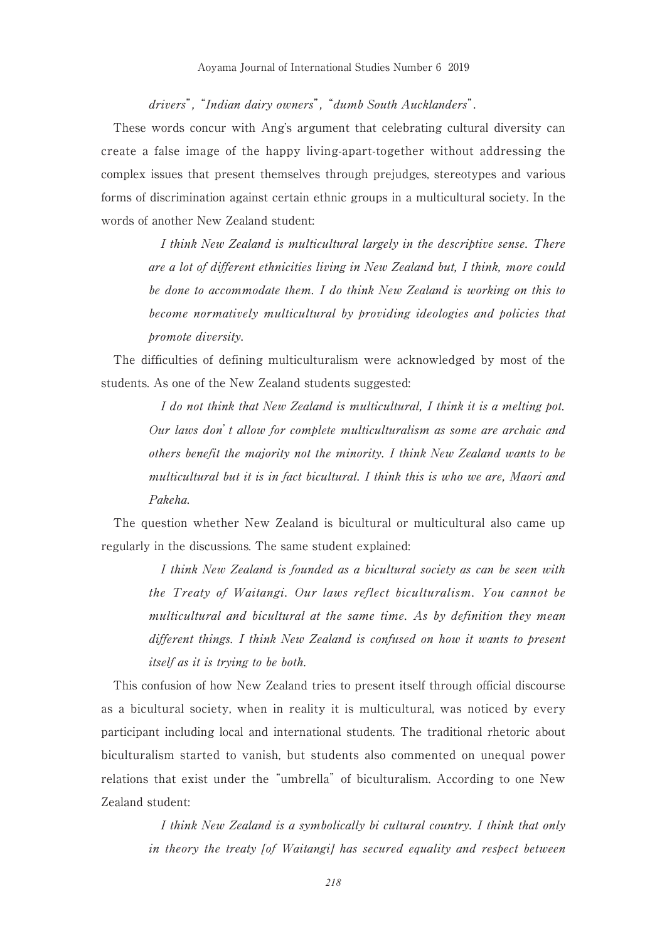drivers", "Indian dairy owners", "dumb South Aucklanders".

 These words concur with Ang's argument that celebrating cultural diversity can create a false image of the happy living-apart-together without addressing the complex issues that present themselves through prejudges, stereotypes and various forms of discrimination against certain ethnic groups in a multicultural society. In the words of another New Zealand student:

 I think New Zealand is multicultural largely in the descriptive sense. There are a lot of different ethnicities living in New Zealand but, I think, more could be done to accommodate them. I do think New Zealand is working on this to become normatively multicultural by providing ideologies and policies that promote diversity.

 The difficulties of defining multiculturalism were acknowledged by most of the students. As one of the New Zealand students suggested:

> I do not think that New Zealand is multicultural, I think it is a melting pot. Our laws don't allow for complete multiculturalism as some are archaic and others benefit the majority not the minority. I think New Zealand wants to be multicultural but it is in fact bicultural. I think this is who we are, Maori and Pakeha.

 The question whether New Zealand is bicultural or multicultural also came up regularly in the discussions. The same student explained:

> I think New Zealand is founded as a bicultural society as can be seen with the Treaty of Waitangi. Our laws reflect biculturalism. You cannot be multicultural and bicultural at the same time. As by definition they mean different things. I think New Zealand is confused on how it wants to present itself as it is trying to be both.

 This confusion of how New Zealand tries to present itself through official discourse as a bicultural society, when in reality it is multicultural, was noticed by every participant including local and international students. The traditional rhetoric about biculturalism started to vanish, but students also commented on unequal power relations that exist under the "umbrella" of biculturalism. According to one New Zealand student:

> I think New Zealand is a symbolically bi cultural country. I think that only in theory the treaty [of Waitangi] has secured equality and respect between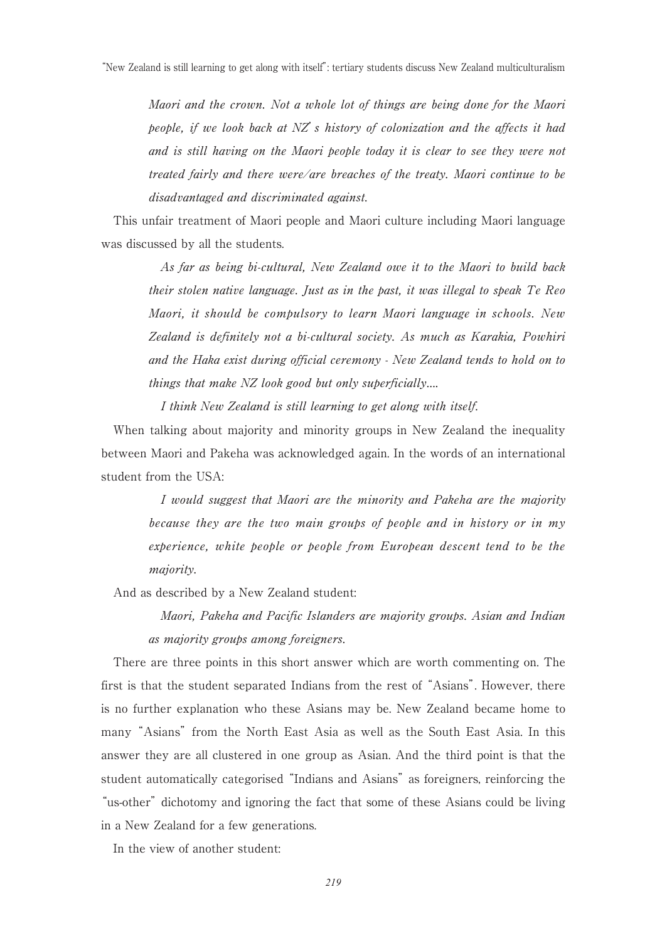Maori and the crown. Not a whole lot of things are being done for the Maori people, if we look back at  $NZ$  s history of colonization and the affects it had and is still having on the Maori people today it is clear to see they were not treated fairly and there were/are breaches of the treaty. Maori continue to be disadvantaged and discriminated against.

 This unfair treatment of Maori people and Maori culture including Maori language was discussed by all the students.

 As far as being bi-cultural, New Zealand owe it to the Maori to build back their stolen native language. Just as in the past, it was illegal to speak Te Reo Maori, it should be compulsory to learn Maori language in schools. New Zealand is definitely not a bi-cultural society. As much as Karakia, Powhiri and the Haka exist during official ceremony - New Zealand tends to hold on to things that make NZ look good but only superficially….

I think New Zealand is still learning to get along with itself.

 When talking about majority and minority groups in New Zealand the inequality between Maori and Pakeha was acknowledged again. In the words of an international student from the USA:

> I would suggest that Maori are the minority and Pakeha are the majority because they are the two main groups of people and in history or in my experience, white people or people from European descent tend to be the majority.

And as described by a New Zealand student:

 Maori, Pakeha and Pacific Islanders are majority groups. Asian and Indian as majority groups among foreigners.

 There are three points in this short answer which are worth commenting on. The first is that the student separated Indians from the rest of "Asians". However, there is no further explanation who these Asians may be. New Zealand became home to many "Asians" from the North East Asia as well as the South East Asia. In this answer they are all clustered in one group as Asian. And the third point is that the student automatically categorised "Indians and Asians" as foreigners, reinforcing the "us-other" dichotomy and ignoring the fact that some of these Asians could be living in a New Zealand for a few generations.

In the view of another student: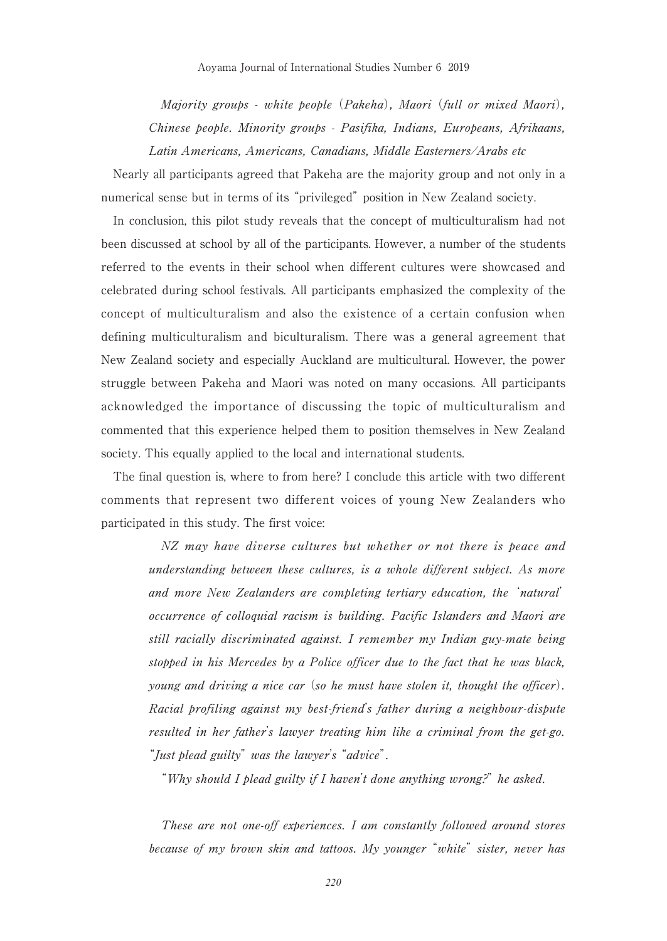Majority groups - white people (Pakeha), Maori (full or mixed Maori), Chinese people. Minority groups - Pasifika, Indians, Europeans, Afrikaans, Latin Americans, Americans, Canadians, Middle Easterners/Arabs etc

 Nearly all participants agreed that Pakeha are the majority group and not only in a numerical sense but in terms of its "privileged" position in New Zealand society.

 In conclusion, this pilot study reveals that the concept of multiculturalism had not been discussed at school by all of the participants. However, a number of the students referred to the events in their school when different cultures were showcased and celebrated during school festivals. All participants emphasized the complexity of the concept of multiculturalism and also the existence of a certain confusion when defining multiculturalism and biculturalism. There was a general agreement that New Zealand society and especially Auckland are multicultural. However, the power struggle between Pakeha and Maori was noted on many occasions. All participants acknowledged the importance of discussing the topic of multiculturalism and commented that this experience helped them to position themselves in New Zealand society. This equally applied to the local and international students.

 The final question is, where to from here? I conclude this article with two different comments that represent two different voices of young New Zealanders who participated in this study. The first voice:

> NZ may have diverse cultures but whether or not there is peace and understanding between these cultures, is a whole different subject. As more and more New Zealanders are completing tertiary education, the 'natural' occurrence of colloquial racism is building. Pacific Islanders and Maori are still racially discriminated against. I remember my Indian guy-mate being stopped in his Mercedes by a Police officer due to the fact that he was black, young and driving a nice car (so he must have stolen it, thought the officer). Racial profiling against my best-friend's father during a neighbour-dispute resulted in her father's lawyer treating him like a criminal from the get-go. "Just plead guilty" was the lawyer's "advice".

"Why should I plead guilty if I haven't done anything wrong?" he asked.

 These are not one-off experiences. I am constantly followed around stores because of my brown skin and tattoos. My younger "white" sister, never has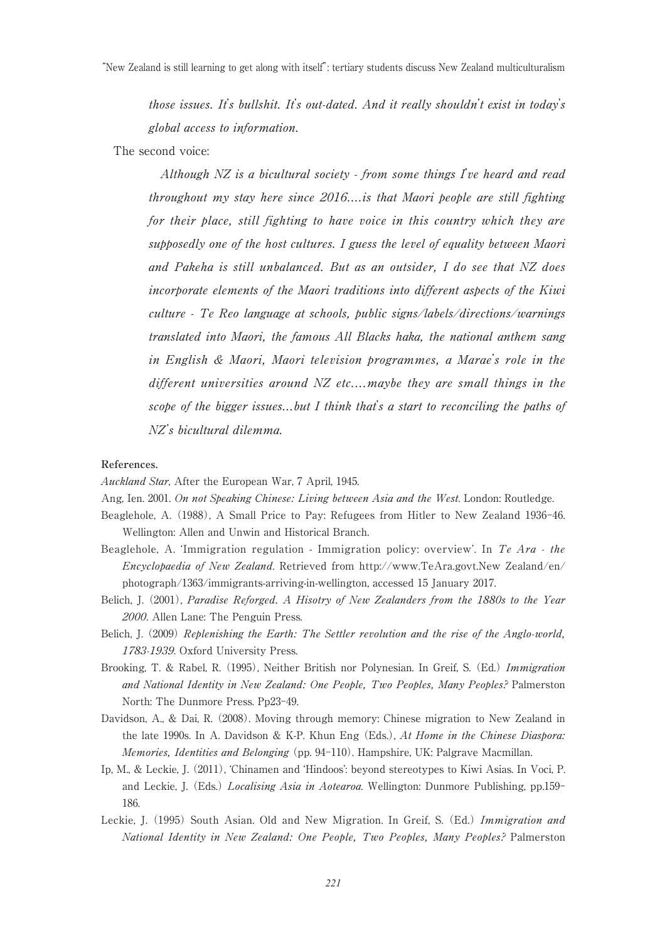those issues. It's bullshit. It's out-dated. And it really shouldn't exist in today's global access to information.

## The second voice:

 Although NZ is a bicultural society - from some things I've heard and read throughout my stay here since 2016....is that Maori people are still fighting for their place, still fighting to have voice in this country which they are supposedly one of the host cultures. I guess the level of equality between Maori and Pakeha is still unbalanced. But as an outsider, I do see that NZ does incorporate elements of the Maori traditions into different aspects of the Kiwi culture - Te Reo language at schools, public signs/labels/directions/warnings translated into Maori, the famous All Blacks haka, the national anthem sang in English & Maori, Maori television programmes, a Marae's role in the different universities around  $NZ$  etc....maybe they are small things in the scope of the bigger issues...but I think that's a start to reconciling the paths of NZ's bicultural dilemma.

### **References.**

Auckland Star, After the European War, 7 April, 1945.

- Ang, Ien. 2001. On not Speaking Chinese: Living between Asia and the West. London: Routledge.
- Beaglehole, A. (1988), A Small Price to Pay: Refugees from Hitler to New Zealand 1936-46. Wellington: Allen and Unwin and Historical Branch.
- Beaglehole, A. 'Immigration regulation Immigration policy: overview'. In Te Ara the Encyclopaedia of New Zealand. Retrieved from http://www.TeAra.govt.New Zealand/en/ photograph/1363/immigrants-arriving-in-wellington, accessed 15 January 2017.
- Belich, J. (2001), Paradise Reforged. A Hisotry of New Zealanders from the 1880s to the Year 2000. Allen Lane: The Penguin Press.
- Belich, J. (2009) Replenishing the Earth: The Settler revolution and the rise of the Anglo-world, 1783-1939. Oxford University Press.
- Brooking, T. & Rabel, R. (1995), Neither British nor Polynesian. In Greif, S. (Ed.) Immigration and National Identity in New Zealand: One People, Two Peoples, Many Peoples? Palmerston North: The Dunmore Press. Pp23-49.
- Davidson, A., & Dai, R. (2008). Moving through memory: Chinese migration to New Zealand in the late 1990s. In A. Davidson & K-P. Khun Eng (Eds.), At Home in the Chinese Diaspora: Memories, Identities and Belonging (pp. 94-110). Hampshire, UK: Palgrave Macmillan.
- Ip, M., & Leckie, J. (2011), 'Chinamen and 'Hindoos': beyond stereotypes to Kiwi Asias. In Voci, P. and Leckie, J. (Eds.) Localising Asia in Aotearoa. Wellington: Dunmore Publishing, pp.159- 186.
- Leckie, J. (1995) South Asian. Old and New Migration. In Greif, S. (Ed.) Immigration and National Identity in New Zealand: One People, Two Peoples, Many Peoples? Palmerston